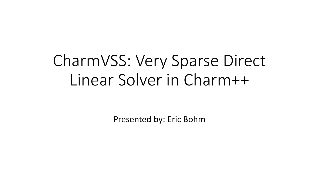# CharmVSS: Very Sparse Direct Linear Solver in Charm++

Presented by: Eric Bohm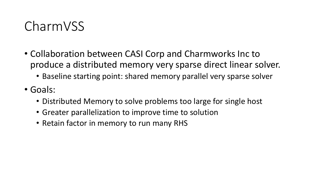#### CharmVSS

- Collaboration between CASI Corp and Charmworks Inc to produce a distributed memory very sparse direct linear solver.
	- Baseline starting point: shared memory parallel very sparse solver
- Goals:
	- Distributed Memory to solve problems too large for single host
	- Greater parallelization to improve time to solution
	- Retain factor in memory to run many RHS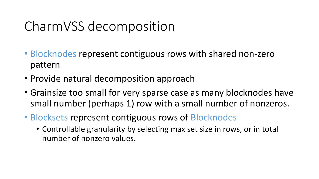## CharmVSS decomposition

- Blocknodes represent contiguous rows with shared non-zero pattern
- Provide natural decomposition approach
- Grainsize too small for very sparse case as many blocknodes have small number (perhaps 1) row with a small number of nonzeros.
- Blocksets represent contiguous rows of Blocknodes
	- Controllable granularity by selecting max set size in rows, or in total number of nonzero values.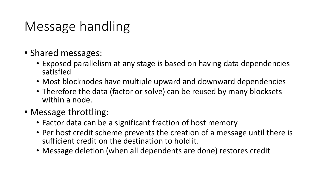### Message handling

- Shared messages:
	- Exposed parallelism at any stage is based on having data dependencies satisfied
	- Most blocknodes have multiple upward and downward dependencies
	- Therefore the data (factor or solve) can be reused by many blocksets within a node.
- Message throttling:
	- Factor data can be a significant fraction of host memory
	- Per host credit scheme prevents the creation of a message until there is sufficient credit on the destination to hold it.
	- Message deletion (when all dependents are done) restores credit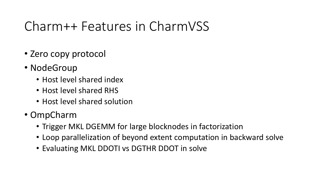## Charm++ Features in CharmVSS

- Zero copy protocol
- NodeGroup
	- Host level shared index
	- Host level shared RHS
	- Host level shared solution
- OmpCharm
	- Trigger MKL DGEMM for large blocknodes in factorization
	- Loop parallelization of beyond extent computation in backward solve
	- Evaluating MKL DDOTI vs DGTHR DDOT in solve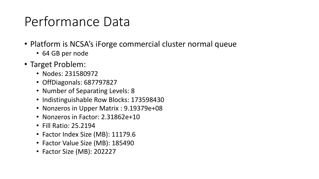## Performance Data

- Platform is NCSA's iForge commercial cluster normal queue
	- 64 GB per node
- Target Problem:
	- Nodes: 231580972
	- OffDiagonals: 687797827
	- Number of Separating Levels: 8
	- Indistinguishable Row Blocks: 173598430
	- Nonzeros in Upper Matrix : 9.19379e+08
	- Nonzeros in Factor: 2.31862e+10
	- Fill Ratio: 25.2194
	- Factor Index Size (MB): 11179.6
	- Factor Value Size (MB): 185490
	- Factor Size (MB): 202227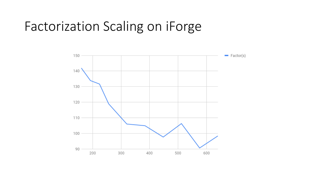#### Factorization Scaling on iForge